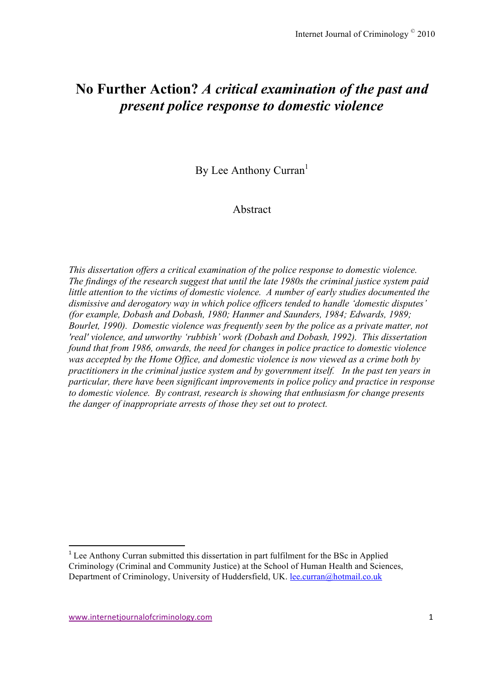# **No Further Action?** *A critical examination of the past and present police response to domestic violence*

By Lee Anthony Curran<sup>1</sup>

### Abstract

*This dissertation offers a critical examination of the police response to domestic violence. The findings of the research suggest that until the late 1980s the criminal justice system paid little attention to the victims of domestic violence. A number of early studies documented the dismissive and derogatory way in which police officers tended to handle 'domestic disputes' (for example, Dobash and Dobash, 1980; Hanmer and Saunders, 1984; Edwards, 1989; Bourlet, 1990). Domestic violence was frequently seen by the police as a private matter, not 'real' violence, and unworthy 'rubbish' work (Dobash and Dobash, 1992). This dissertation found that from 1986, onwards, the need for changes in police practice to domestic violence was accepted by the Home Office, and domestic violence is now viewed as a crime both by practitioners in the criminal justice system and by government itself. In the past ten years in particular, there have been significant improvements in police policy and practice in response to domestic violence. By contrast, research is showing that enthusiasm for change presents the danger of inappropriate arrests of those they set out to protect.*

222222222222222222222222222222222222222222222222222222222222

<sup>&</sup>lt;sup>1</sup> Lee Anthony Curran submitted this dissertation in part fulfilment for the BSc in Applied Criminology (Criminal and Community Justice) at the School of Human Health and Sciences, Department of Criminology, University of Huddersfield, UK. lee.curran@hotmail.co.uk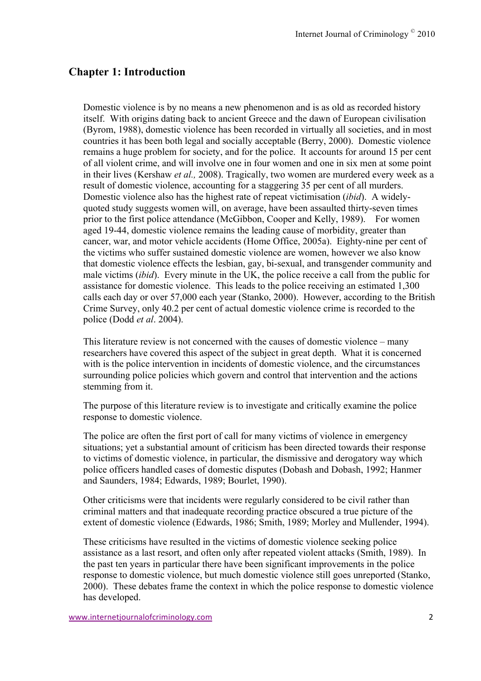### **Chapter 1: Introduction**

Domestic violence is by no means a new phenomenon and is as old as recorded history itself. With origins dating back to ancient Greece and the dawn of European civilisation (Byrom, 1988), domestic violence has been recorded in virtually all societies, and in most countries it has been both legal and socially acceptable (Berry, 2000). Domestic violence remains a huge problem for society, and for the police. It accounts for around 15 per cent of all violent crime, and will involve one in four women and one in six men at some point in their lives (Kershaw *et al.,* 2008). Tragically, two women are murdered every week as a result of domestic violence, accounting for a staggering 35 per cent of all murders. Domestic violence also has the highest rate of repeat victimisation (*ibid*). A widelyquoted study suggests women will, on average, have been assaulted thirty-seven times prior to the first police attendance (McGibbon, Cooper and Kelly, 1989). For women aged 19-44, domestic violence remains the leading cause of morbidity, greater than cancer, war, and motor vehicle accidents (Home Office, 2005a). Eighty-nine per cent of the victims who suffer sustained domestic violence are women, however we also know that domestic violence effects the lesbian, gay, bi-sexual, and transgender community and male victims (*ibid*). Every minute in the UK, the police receive a call from the public for assistance for domestic violence. This leads to the police receiving an estimated 1,300 calls each day or over 57,000 each year (Stanko, 2000). However, according to the British Crime Survey, only 40.2 per cent of actual domestic violence crime is recorded to the police (Dodd *et al*. 2004).

This literature review is not concerned with the causes of domestic violence – many researchers have covered this aspect of the subject in great depth. What it is concerned with is the police intervention in incidents of domestic violence, and the circumstances surrounding police policies which govern and control that intervention and the actions stemming from it.

The purpose of this literature review is to investigate and critically examine the police response to domestic violence.

The police are often the first port of call for many victims of violence in emergency situations; yet a substantial amount of criticism has been directed towards their response to victims of domestic violence, in particular, the dismissive and derogatory way which police officers handled cases of domestic disputes (Dobash and Dobash, 1992; Hanmer and Saunders, 1984; Edwards, 1989; Bourlet, 1990).

Other criticisms were that incidents were regularly considered to be civil rather than criminal matters and that inadequate recording practice obscured a true picture of the extent of domestic violence (Edwards, 1986; Smith, 1989; Morley and Mullender, 1994).

These criticisms have resulted in the victims of domestic violence seeking police assistance as a last resort, and often only after repeated violent attacks (Smith, 1989). In the past ten years in particular there have been significant improvements in the police response to domestic violence, but much domestic violence still goes unreported (Stanko, 2000). These debates frame the context in which the police response to domestic violence has developed.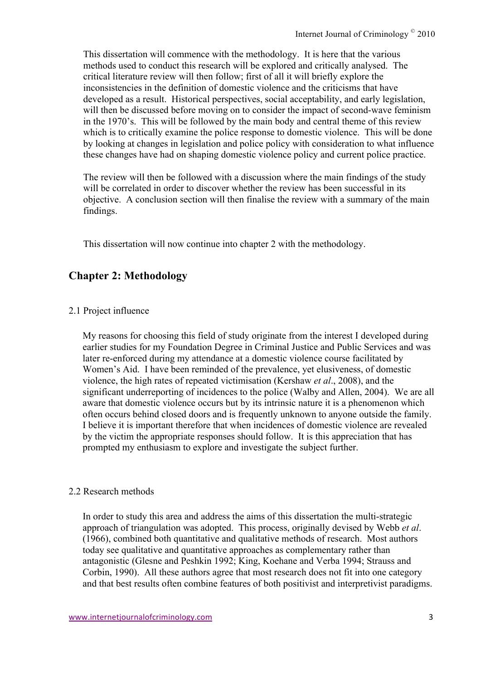This dissertation will commence with the methodology. It is here that the various methods used to conduct this research will be explored and critically analysed. The critical literature review will then follow; first of all it will briefly explore the inconsistencies in the definition of domestic violence and the criticisms that have developed as a result. Historical perspectives, social acceptability, and early legislation, will then be discussed before moving on to consider the impact of second-wave feminism in the 1970's. This will be followed by the main body and central theme of this review which is to critically examine the police response to domestic violence. This will be done by looking at changes in legislation and police policy with consideration to what influence these changes have had on shaping domestic violence policy and current police practice.

The review will then be followed with a discussion where the main findings of the study will be correlated in order to discover whether the review has been successful in its objective. A conclusion section will then finalise the review with a summary of the main findings.

This dissertation will now continue into chapter 2 with the methodology.

# **Chapter 2: Methodology**

#### 2.1 Project influence

My reasons for choosing this field of study originate from the interest I developed during earlier studies for my Foundation Degree in Criminal Justice and Public Services and was later re-enforced during my attendance at a domestic violence course facilitated by Women's Aid. I have been reminded of the prevalence, yet elusiveness, of domestic violence, the high rates of repeated victimisation (Kershaw *et al*., 2008), and the significant underreporting of incidences to the police (Walby and Allen, 2004). We are all aware that domestic violence occurs but by its intrinsic nature it is a phenomenon which often occurs behind closed doors and is frequently unknown to anyone outside the family. I believe it is important therefore that when incidences of domestic violence are revealed by the victim the appropriate responses should follow. It is this appreciation that has prompted my enthusiasm to explore and investigate the subject further.

### 2.2 Research methods

In order to study this area and address the aims of this dissertation the multi-strategic approach of triangulation was adopted. This process, originally devised by Webb *et al*. (1966), combined both quantitative and qualitative methods of research. Most authors today see qualitative and quantitative approaches as complementary rather than antagonistic (Glesne and Peshkin 1992; King, Koehane and Verba 1994; Strauss and Corbin, 1990). All these authors agree that most research does not fit into one category and that best results often combine features of both positivist and interpretivist paradigms.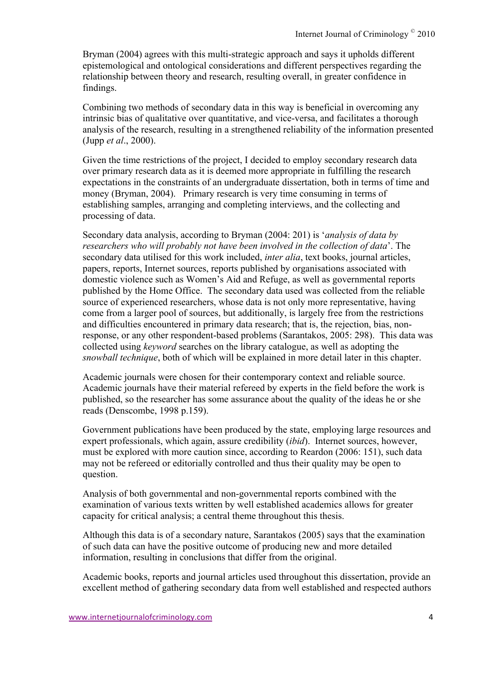Bryman (2004) agrees with this multi-strategic approach and says it upholds different epistemological and ontological considerations and different perspectives regarding the relationship between theory and research, resulting overall, in greater confidence in findings.

Combining two methods of secondary data in this way is beneficial in overcoming any intrinsic bias of qualitative over quantitative, and vice-versa, and facilitates a thorough analysis of the research, resulting in a strengthened reliability of the information presented (Jupp *et al*., 2000).

Given the time restrictions of the project, I decided to employ secondary research data over primary research data as it is deemed more appropriate in fulfilling the research expectations in the constraints of an undergraduate dissertation, both in terms of time and money (Bryman, 2004). Primary research is very time consuming in terms of establishing samples, arranging and completing interviews, and the collecting and processing of data.

Secondary data analysis, according to Bryman (2004: 201) is '*analysis of data by researchers who will probably not have been involved in the collection of data*'. The secondary data utilised for this work included, *inter alia*, text books, journal articles, papers, reports, Internet sources, reports published by organisations associated with domestic violence such as Women's Aid and Refuge, as well as governmental reports published by the Home Office. The secondary data used was collected from the reliable source of experienced researchers, whose data is not only more representative, having come from a larger pool of sources, but additionally, is largely free from the restrictions and difficulties encountered in primary data research; that is, the rejection, bias, nonresponse, or any other respondent-based problems (Sarantakos, 2005: 298). This data was collected using *keyword* searches on the library catalogue, as well as adopting the *snowball technique*, both of which will be explained in more detail later in this chapter.

Academic journals were chosen for their contemporary context and reliable source. Academic journals have their material refereed by experts in the field before the work is published, so the researcher has some assurance about the quality of the ideas he or she reads (Denscombe, 1998 p.159).

Government publications have been produced by the state, employing large resources and expert professionals, which again, assure credibility (*ibid*). Internet sources, however, must be explored with more caution since, according to Reardon (2006: 151), such data may not be refereed or editorially controlled and thus their quality may be open to question.

Analysis of both governmental and non-governmental reports combined with the examination of various texts written by well established academics allows for greater capacity for critical analysis; a central theme throughout this thesis.

Although this data is of a secondary nature, Sarantakos (2005) says that the examination of such data can have the positive outcome of producing new and more detailed information, resulting in conclusions that differ from the original.

Academic books, reports and journal articles used throughout this dissertation, provide an excellent method of gathering secondary data from well established and respected authors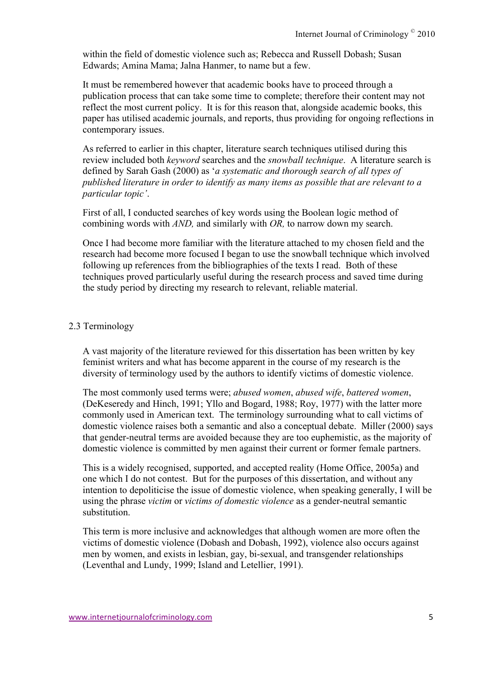within the field of domestic violence such as; Rebecca and Russell Dobash; Susan Edwards; Amina Mama; Jalna Hanmer, to name but a few.

It must be remembered however that academic books have to proceed through a publication process that can take some time to complete; therefore their content may not reflect the most current policy. It is for this reason that, alongside academic books, this paper has utilised academic journals, and reports, thus providing for ongoing reflections in contemporary issues.

As referred to earlier in this chapter, literature search techniques utilised during this review included both *keyword* searches and the *snowball technique*. A literature search is defined by Sarah Gash (2000) as '*a systematic and thorough search of all types of published literature in order to identify as many items as possible that are relevant to a particular topic'*.

First of all, I conducted searches of key words using the Boolean logic method of combining words with *AND,* and similarly with *OR,* to narrow down my search.

Once I had become more familiar with the literature attached to my chosen field and the research had become more focused I began to use the snowball technique which involved following up references from the bibliographies of the texts I read. Both of these techniques proved particularly useful during the research process and saved time during the study period by directing my research to relevant, reliable material.

### 2.3 Terminology

A vast majority of the literature reviewed for this dissertation has been written by key feminist writers and what has become apparent in the course of my research is the diversity of terminology used by the authors to identify victims of domestic violence.

The most commonly used terms were; *abused women*, *abused wife*, *battered women*, (DeKeseredy and Hinch, 1991; Yllo and Bogard, 1988; Roy, 1977) with the latter more commonly used in American text. The terminology surrounding what to call victims of domestic violence raises both a semantic and also a conceptual debate. Miller (2000) says that gender-neutral terms are avoided because they are too euphemistic, as the majority of domestic violence is committed by men against their current or former female partners.

This is a widely recognised, supported, and accepted reality (Home Office, 2005a) and one which I do not contest. But for the purposes of this dissertation, and without any intention to depoliticise the issue of domestic violence, when speaking generally, I will be using the phrase *victim* or *victims of domestic violence* as a gender-neutral semantic substitution.

This term is more inclusive and acknowledges that although women are more often the victims of domestic violence (Dobash and Dobash, 1992), violence also occurs against men by women, and exists in lesbian, gay, bi-sexual, and transgender relationships (Leventhal and Lundy, 1999; Island and Letellier, 1991).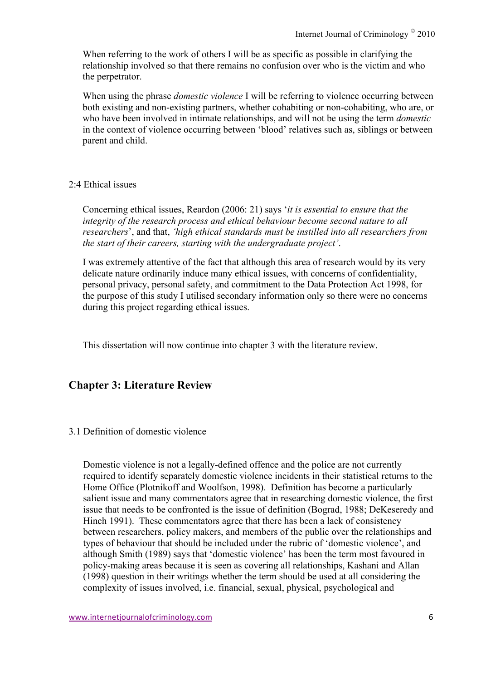When referring to the work of others I will be as specific as possible in clarifying the relationship involved so that there remains no confusion over who is the victim and who the perpetrator.

When using the phrase *domestic violence* I will be referring to violence occurring between both existing and non-existing partners, whether cohabiting or non-cohabiting, who are, or who have been involved in intimate relationships, and will not be using the term *domestic*  in the context of violence occurring between 'blood' relatives such as, siblings or between parent and child.

### 2:4 Ethical issues

Concerning ethical issues, Reardon (2006: 21) says '*it is essential to ensure that the integrity of the research process and ethical behaviour become second nature to all researchers*', and that, *'high ethical standards must be instilled into all researchers from the start of their careers, starting with the undergraduate project'*.

I was extremely attentive of the fact that although this area of research would by its very delicate nature ordinarily induce many ethical issues, with concerns of confidentiality, personal privacy, personal safety, and commitment to the Data Protection Act 1998, for the purpose of this study I utilised secondary information only so there were no concerns during this project regarding ethical issues.

This dissertation will now continue into chapter 3 with the literature review.

# **Chapter 3: Literature Review**

### 3.1 Definition of domestic violence

Domestic violence is not a legally-defined offence and the police are not currently required to identify separately domestic violence incidents in their statistical returns to the Home Office (Plotnikoff and Woolfson, 1998). Definition has become a particularly salient issue and many commentators agree that in researching domestic violence, the first issue that needs to be confronted is the issue of definition (Bograd, 1988; DeKeseredy and Hinch 1991). These commentators agree that there has been a lack of consistency between researchers, policy makers, and members of the public over the relationships and types of behaviour that should be included under the rubric of 'domestic violence', and although Smith (1989) says that 'domestic violence' has been the term most favoured in policy-making areas because it is seen as covering all relationships, Kashani and Allan (1998) question in their writings whether the term should be used at all considering the complexity of issues involved, i.e. financial, sexual, physical, psychological and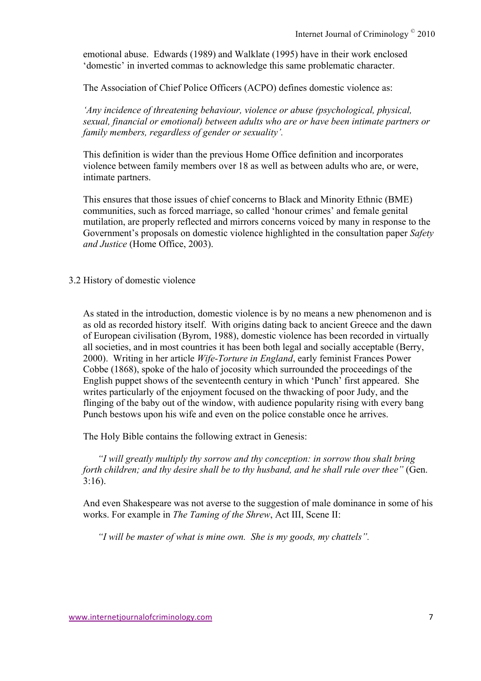emotional abuse. Edwards (1989) and Walklate (1995) have in their work enclosed 'domestic' in inverted commas to acknowledge this same problematic character.

The Association of Chief Police Officers (ACPO) defines domestic violence as:

*'Any incidence of threatening behaviour, violence or abuse (psychological, physical, sexual, financial or emotional) between adults who are or have been intimate partners or family members, regardless of gender or sexuality'.*

This definition is wider than the previous Home Office definition and incorporates violence between family members over 18 as well as between adults who are, or were, intimate partners.

This ensures that those issues of chief concerns to Black and Minority Ethnic (BME) communities, such as forced marriage, so called 'honour crimes' and female genital mutilation, are properly reflected and mirrors concerns voiced by many in response to the Government's proposals on domestic violence highlighted in the consultation paper *Safety and Justice* (Home Office, 2003).

3.2 History of domestic violence

As stated in the introduction, domestic violence is by no means a new phenomenon and is as old as recorded history itself. With origins dating back to ancient Greece and the dawn of European civilisation (Byrom, 1988), domestic violence has been recorded in virtually all societies, and in most countries it has been both legal and socially acceptable (Berry, 2000). Writing in her article *Wife-Torture in England*, early feminist Frances Power Cobbe (1868), spoke of the halo of jocosity which surrounded the proceedings of the English puppet shows of the seventeenth century in which 'Punch' first appeared. She writes particularly of the enjoyment focused on the thwacking of poor Judy, and the flinging of the baby out of the window, with audience popularity rising with every bang Punch bestows upon his wife and even on the police constable once he arrives.

The Holy Bible contains the following extract in Genesis:

*"I will greatly multiply thy sorrow and thy conception: in sorrow thou shalt bring forth children; and thy desire shall be to thy husband, and he shall rule over thee"* (Gen. 3:16).

And even Shakespeare was not averse to the suggestion of male dominance in some of his works. For example in *The Taming of the Shrew*, Act III, Scene II:

*"I will be master of what is mine own. She is my goods, my chattels".*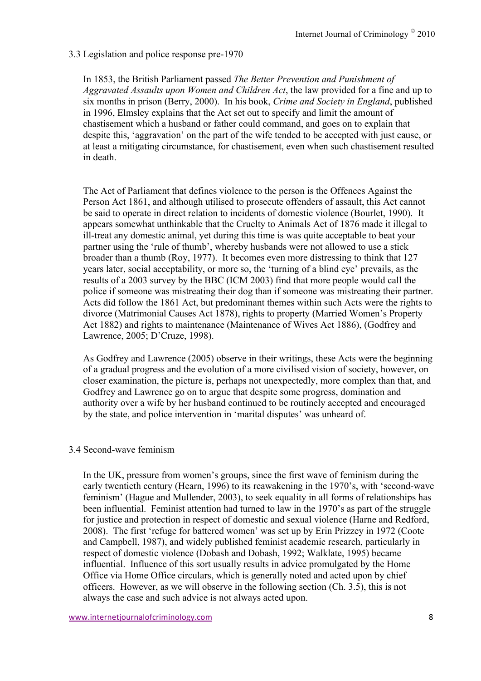### 3.3 Legislation and police response pre-1970

In 1853, the British Parliament passed *The Better Prevention and Punishment of Aggravated Assaults upon Women and Children Act*, the law provided for a fine and up to six months in prison (Berry, 2000). In his book, *Crime and Society in England*, published in 1996, Elmsley explains that the Act set out to specify and limit the amount of chastisement which a husband or father could command, and goes on to explain that despite this, 'aggravation' on the part of the wife tended to be accepted with just cause, or at least a mitigating circumstance, for chastisement, even when such chastisement resulted in death.

The Act of Parliament that defines violence to the person is the Offences Against the Person Act 1861, and although utilised to prosecute offenders of assault, this Act cannot be said to operate in direct relation to incidents of domestic violence (Bourlet, 1990). It appears somewhat unthinkable that the Cruelty to Animals Act of 1876 made it illegal to ill-treat any domestic animal, yet during this time is was quite acceptable to beat your partner using the 'rule of thumb', whereby husbands were not allowed to use a stick broader than a thumb (Roy, 1977). It becomes even more distressing to think that 127 years later, social acceptability, or more so, the 'turning of a blind eye' prevails, as the results of a 2003 survey by the BBC (ICM 2003) find that more people would call the police if someone was mistreating their dog than if someone was mistreating their partner. Acts did follow the 1861 Act, but predominant themes within such Acts were the rights to divorce (Matrimonial Causes Act 1878), rights to property (Married Women's Property Act 1882) and rights to maintenance (Maintenance of Wives Act 1886), (Godfrey and Lawrence, 2005; D'Cruze, 1998).

As Godfrey and Lawrence (2005) observe in their writings, these Acts were the beginning of a gradual progress and the evolution of a more civilised vision of society, however, on closer examination, the picture is, perhaps not unexpectedly, more complex than that, and Godfrey and Lawrence go on to argue that despite some progress, domination and authority over a wife by her husband continued to be routinely accepted and encouraged by the state, and police intervention in 'marital disputes' was unheard of.

### 3.4 Second-wave feminism

In the UK, pressure from women's groups, since the first wave of feminism during the early twentieth century (Hearn, 1996) to its reawakening in the 1970's, with 'second-wave feminism' (Hague and Mullender, 2003), to seek equality in all forms of relationships has been influential. Feminist attention had turned to law in the 1970's as part of the struggle for justice and protection in respect of domestic and sexual violence (Harne and Redford, 2008). The first 'refuge for battered women' was set up by Erin Prizzey in 1972 (Coote and Campbell, 1987), and widely published feminist academic research, particularly in respect of domestic violence (Dobash and Dobash, 1992; Walklate, 1995) became influential. Influence of this sort usually results in advice promulgated by the Home Office via Home Office circulars, which is generally noted and acted upon by chief officers. However, as we will observe in the following section (Ch. 3.5), this is not always the case and such advice is not always acted upon.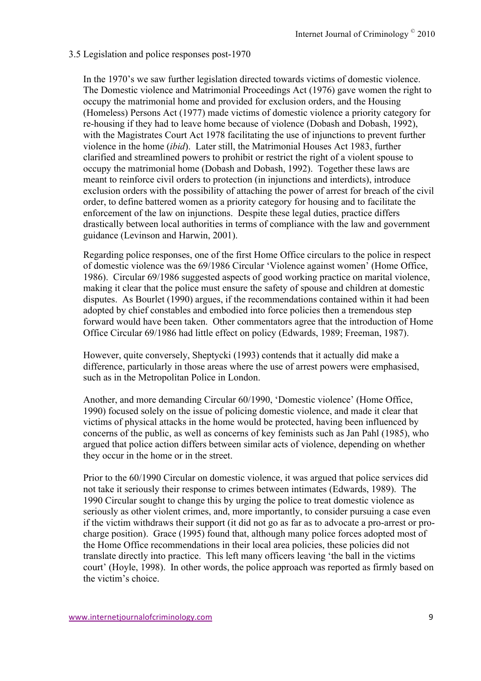#### 3.5 Legislation and police responses post-1970

In the 1970's we saw further legislation directed towards victims of domestic violence. The Domestic violence and Matrimonial Proceedings Act (1976) gave women the right to occupy the matrimonial home and provided for exclusion orders, and the Housing (Homeless) Persons Act (1977) made victims of domestic violence a priority category for re-housing if they had to leave home because of violence (Dobash and Dobash, 1992), with the Magistrates Court Act 1978 facilitating the use of injunctions to prevent further violence in the home (*ibid*). Later still, the Matrimonial Houses Act 1983, further clarified and streamlined powers to prohibit or restrict the right of a violent spouse to occupy the matrimonial home (Dobash and Dobash, 1992). Together these laws are meant to reinforce civil orders to protection (in injunctions and interdicts), introduce exclusion orders with the possibility of attaching the power of arrest for breach of the civil order, to define battered women as a priority category for housing and to facilitate the enforcement of the law on injunctions. Despite these legal duties, practice differs drastically between local authorities in terms of compliance with the law and government guidance (Levinson and Harwin, 2001).

Regarding police responses, one of the first Home Office circulars to the police in respect of domestic violence was the 69/1986 Circular 'Violence against women' (Home Office, 1986). Circular 69/1986 suggested aspects of good working practice on marital violence, making it clear that the police must ensure the safety of spouse and children at domestic disputes. As Bourlet (1990) argues, if the recommendations contained within it had been adopted by chief constables and embodied into force policies then a tremendous step forward would have been taken. Other commentators agree that the introduction of Home Office Circular 69/1986 had little effect on policy (Edwards, 1989; Freeman, 1987).

However, quite conversely, Sheptycki (1993) contends that it actually did make a difference, particularly in those areas where the use of arrest powers were emphasised, such as in the Metropolitan Police in London.

Another, and more demanding Circular 60/1990, 'Domestic violence' (Home Office, 1990) focused solely on the issue of policing domestic violence, and made it clear that victims of physical attacks in the home would be protected, having been influenced by concerns of the public, as well as concerns of key feminists such as Jan Pahl (1985), who argued that police action differs between similar acts of violence, depending on whether they occur in the home or in the street.

Prior to the 60/1990 Circular on domestic violence, it was argued that police services did not take it seriously their response to crimes between intimates (Edwards, 1989). The 1990 Circular sought to change this by urging the police to treat domestic violence as seriously as other violent crimes, and, more importantly, to consider pursuing a case even if the victim withdraws their support (it did not go as far as to advocate a pro-arrest or procharge position). Grace (1995) found that, although many police forces adopted most of the Home Office recommendations in their local area policies, these policies did not translate directly into practice. This left many officers leaving 'the ball in the victims court' (Hoyle, 1998). In other words, the police approach was reported as firmly based on the victim's choice.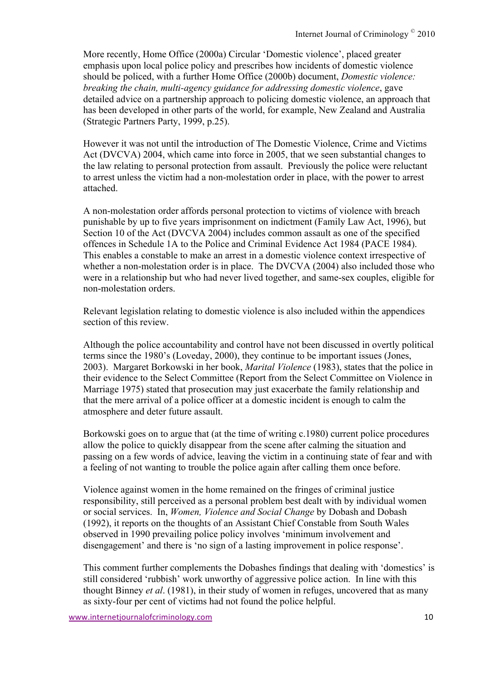More recently, Home Office (2000a) Circular 'Domestic violence', placed greater emphasis upon local police policy and prescribes how incidents of domestic violence should be policed, with a further Home Office (2000b) document, *Domestic violence: breaking the chain, multi-agency guidance for addressing domestic violence*, gave detailed advice on a partnership approach to policing domestic violence, an approach that has been developed in other parts of the world, for example, New Zealand and Australia (Strategic Partners Party, 1999, p.25).

However it was not until the introduction of The Domestic Violence, Crime and Victims Act (DVCVA) 2004, which came into force in 2005, that we seen substantial changes to the law relating to personal protection from assault. Previously the police were reluctant to arrest unless the victim had a non-molestation order in place, with the power to arrest attached.

A non-molestation order affords personal protection to victims of violence with breach punishable by up to five years imprisonment on indictment (Family Law Act, 1996), but Section 10 of the Act (DVCVA 2004) includes common assault as one of the specified offences in Schedule 1A to the Police and Criminal Evidence Act 1984 (PACE 1984). This enables a constable to make an arrest in a domestic violence context irrespective of whether a non-molestation order is in place. The DVCVA (2004) also included those who were in a relationship but who had never lived together, and same-sex couples, eligible for non-molestation orders.

Relevant legislation relating to domestic violence is also included within the appendices section of this review.

Although the police accountability and control have not been discussed in overtly political terms since the 1980's (Loveday, 2000), they continue to be important issues (Jones, 2003). Margaret Borkowski in her book, *Marital Violence* (1983), states that the police in their evidence to the Select Committee (Report from the Select Committee on Violence in Marriage 1975) stated that prosecution may just exacerbate the family relationship and that the mere arrival of a police officer at a domestic incident is enough to calm the atmosphere and deter future assault.

Borkowski goes on to argue that (at the time of writing c.1980) current police procedures allow the police to quickly disappear from the scene after calming the situation and passing on a few words of advice, leaving the victim in a continuing state of fear and with a feeling of not wanting to trouble the police again after calling them once before.

Violence against women in the home remained on the fringes of criminal justice responsibility, still perceived as a personal problem best dealt with by individual women or social services. In, *Women, Violence and Social Change* by Dobash and Dobash (1992), it reports on the thoughts of an Assistant Chief Constable from South Wales observed in 1990 prevailing police policy involves 'minimum involvement and disengagement' and there is 'no sign of a lasting improvement in police response'.

This comment further complements the Dobashes findings that dealing with 'domestics' is still considered 'rubbish' work unworthy of aggressive police action. In line with this thought Binney *et al*. (1981), in their study of women in refuges, uncovered that as many as sixty-four per cent of victims had not found the police helpful.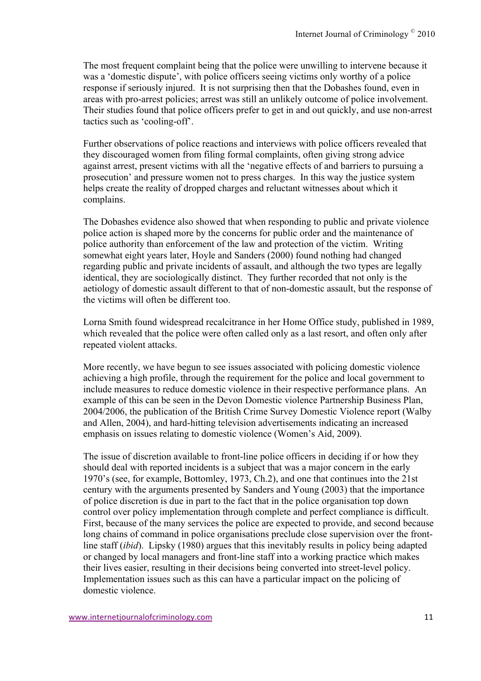The most frequent complaint being that the police were unwilling to intervene because it was a 'domestic dispute', with police officers seeing victims only worthy of a police response if seriously injured. It is not surprising then that the Dobashes found, even in areas with pro-arrest policies; arrest was still an unlikely outcome of police involvement. Their studies found that police officers prefer to get in and out quickly, and use non-arrest tactics such as 'cooling-off'.

Further observations of police reactions and interviews with police officers revealed that they discouraged women from filing formal complaints, often giving strong advice against arrest, present victims with all the 'negative effects of and barriers to pursuing a prosecution' and pressure women not to press charges. In this way the justice system helps create the reality of dropped charges and reluctant witnesses about which it complains.

The Dobashes evidence also showed that when responding to public and private violence police action is shaped more by the concerns for public order and the maintenance of police authority than enforcement of the law and protection of the victim. Writing somewhat eight years later, Hoyle and Sanders (2000) found nothing had changed regarding public and private incidents of assault, and although the two types are legally identical, they are sociologically distinct. They further recorded that not only is the aetiology of domestic assault different to that of non-domestic assault, but the response of the victims will often be different too.

Lorna Smith found widespread recalcitrance in her Home Office study, published in 1989, which revealed that the police were often called only as a last resort, and often only after repeated violent attacks.

More recently, we have begun to see issues associated with policing domestic violence achieving a high profile, through the requirement for the police and local government to include measures to reduce domestic violence in their respective performance plans. An example of this can be seen in the Devon Domestic violence Partnership Business Plan, 2004/2006, the publication of the British Crime Survey Domestic Violence report (Walby and Allen, 2004), and hard-hitting television advertisements indicating an increased emphasis on issues relating to domestic violence (Women's Aid, 2009).

The issue of discretion available to front-line police officers in deciding if or how they should deal with reported incidents is a subject that was a major concern in the early 1970's (see, for example, Bottomley, 1973, Ch.2), and one that continues into the 21st century with the arguments presented by Sanders and Young (2003) that the importance of police discretion is due in part to the fact that in the police organisation top down control over policy implementation through complete and perfect compliance is difficult. First, because of the many services the police are expected to provide, and second because long chains of command in police organisations preclude close supervision over the frontline staff (*ibid*). Lipsky (1980) argues that this inevitably results in policy being adapted or changed by local managers and front-line staff into a working practice which makes their lives easier, resulting in their decisions being converted into street-level policy. Implementation issues such as this can have a particular impact on the policing of domestic violence.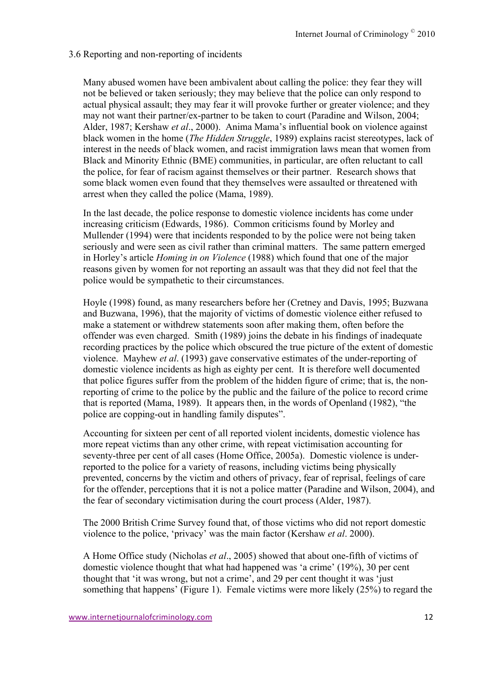### 3.6 Reporting and non-reporting of incidents

Many abused women have been ambivalent about calling the police: they fear they will not be believed or taken seriously; they may believe that the police can only respond to actual physical assault; they may fear it will provoke further or greater violence; and they may not want their partner/ex-partner to be taken to court (Paradine and Wilson, 2004; Alder, 1987; Kershaw *et al*., 2000). Anima Mama's influential book on violence against black women in the home (*The Hidden Struggle*, 1989) explains racist stereotypes, lack of interest in the needs of black women, and racist immigration laws mean that women from Black and Minority Ethnic (BME) communities, in particular, are often reluctant to call the police, for fear of racism against themselves or their partner. Research shows that some black women even found that they themselves were assaulted or threatened with arrest when they called the police (Mama, 1989).

In the last decade, the police response to domestic violence incidents has come under increasing criticism (Edwards, 1986). Common criticisms found by Morley and Mullender (1994) were that incidents responded to by the police were not being taken seriously and were seen as civil rather than criminal matters. The same pattern emerged in Horley's article *Homing in on Violence* (1988) which found that one of the major reasons given by women for not reporting an assault was that they did not feel that the police would be sympathetic to their circumstances.

Hoyle (1998) found, as many researchers before her (Cretney and Davis, 1995; Buzwana and Buzwana, 1996), that the majority of victims of domestic violence either refused to make a statement or withdrew statements soon after making them, often before the offender was even charged. Smith (1989) joins the debate in his findings of inadequate recording practices by the police which obscured the true picture of the extent of domestic violence. Mayhew *et al*. (1993) gave conservative estimates of the under-reporting of domestic violence incidents as high as eighty per cent. It is therefore well documented that police figures suffer from the problem of the hidden figure of crime; that is, the nonreporting of crime to the police by the public and the failure of the police to record crime that is reported (Mama, 1989). It appears then, in the words of Openland (1982), "the police are copping-out in handling family disputes".

Accounting for sixteen per cent of all reported violent incidents, domestic violence has more repeat victims than any other crime, with repeat victimisation accounting for seventy-three per cent of all cases (Home Office, 2005a). Domestic violence is underreported to the police for a variety of reasons, including victims being physically prevented, concerns by the victim and others of privacy, fear of reprisal, feelings of care for the offender, perceptions that it is not a police matter (Paradine and Wilson, 2004), and the fear of secondary victimisation during the court process (Alder, 1987).

The 2000 British Crime Survey found that, of those victims who did not report domestic violence to the police, 'privacy' was the main factor (Kershaw *et al*. 2000).

A Home Office study (Nicholas *et al*., 2005) showed that about one-fifth of victims of domestic violence thought that what had happened was 'a crime' (19%), 30 per cent thought that 'it was wrong, but not a crime', and 29 per cent thought it was 'just something that happens' (Figure 1). Female victims were more likely (25%) to regard the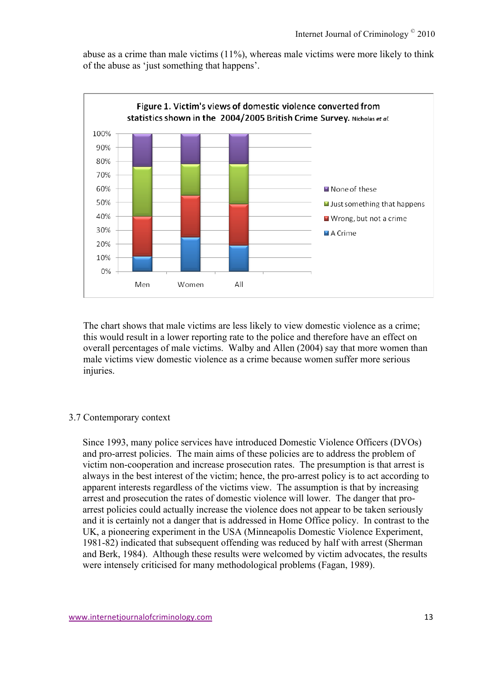abuse as a crime than male victims (11%), whereas male victims were more likely to think of the abuse as 'just something that happens'.



The chart shows that male victims are less likely to view domestic violence as a crime; this would result in a lower reporting rate to the police and therefore have an effect on overall percentages of male victims. Walby and Allen (2004) say that more women than male victims view domestic violence as a crime because women suffer more serious injuries.

#### 3.7 Contemporary context

Since 1993, many police services have introduced Domestic Violence Officers (DVOs) and pro-arrest policies. The main aims of these policies are to address the problem of victim non-cooperation and increase prosecution rates. The presumption is that arrest is always in the best interest of the victim; hence, the pro-arrest policy is to act according to apparent interests regardless of the victims view. The assumption is that by increasing arrest and prosecution the rates of domestic violence will lower. The danger that proarrest policies could actually increase the violence does not appear to be taken seriously and it is certainly not a danger that is addressed in Home Office policy. In contrast to the UK, a pioneering experiment in the USA (Minneapolis Domestic Violence Experiment, 1981-82) indicated that subsequent offending was reduced by half with arrest (Sherman and Berk, 1984). Although these results were welcomed by victim advocates, the results were intensely criticised for many methodological problems (Fagan, 1989).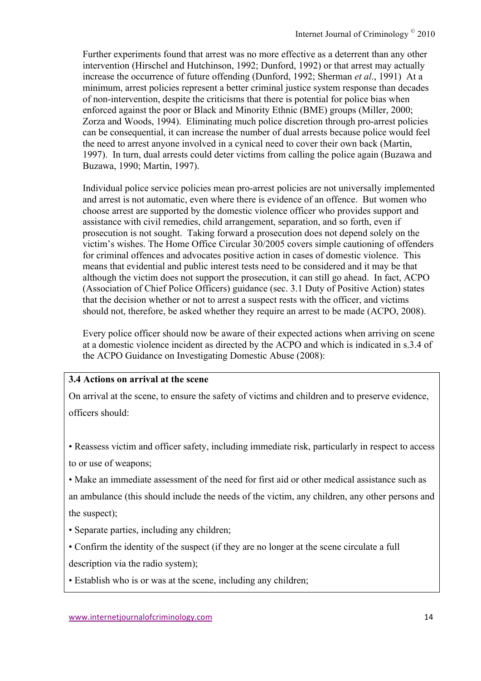Further experiments found that arrest was no more effective as a deterrent than any other intervention (Hirschel and Hutchinson, 1992; Dunford, 1992) or that arrest may actually increase the occurrence of future offending (Dunford, 1992; Sherman *et al*., 1991) At a minimum, arrest policies represent a better criminal justice system response than decades of non-intervention, despite the criticisms that there is potential for police bias when enforced against the poor or Black and Minority Ethnic (BME) groups (Miller, 2000; Zorza and Woods, 1994). Eliminating much police discretion through pro-arrest policies can be consequential, it can increase the number of dual arrests because police would feel the need to arrest anyone involved in a cynical need to cover their own back (Martin, 1997). In turn, dual arrests could deter victims from calling the police again (Buzawa and Buzawa, 1990; Martin, 1997).

Individual police service policies mean pro-arrest policies are not universally implemented and arrest is not automatic, even where there is evidence of an offence. But women who choose arrest are supported by the domestic violence officer who provides support and assistance with civil remedies, child arrangement, separation, and so forth, even if prosecution is not sought. Taking forward a prosecution does not depend solely on the victim's wishes. The Home Office Circular 30/2005 covers simple cautioning of offenders for criminal offences and advocates positive action in cases of domestic violence. This means that evidential and public interest tests need to be considered and it may be that although the victim does not support the prosecution, it can still go ahead. In fact, ACPO (Association of Chief Police Officers) guidance (sec. 3.1 Duty of Positive Action) states that the decision whether or not to arrest a suspect rests with the officer, and victims should not, therefore, be asked whether they require an arrest to be made (ACPO, 2008).

Every police officer should now be aware of their expected actions when arriving on scene at a domestic violence incident as directed by the ACPO and which is indicated in s.3.4 of the ACPO Guidance on Investigating Domestic Abuse (2008):

### **3.4 Actions on arrival at the scene**

On arrival at the scene, to ensure the safety of victims and children and to preserve evidence, officers should:

• Reassess victim and officer safety, including immediate risk, particularly in respect to access to or use of weapons;

• Make an immediate assessment of the need for first aid or other medical assistance such as

an ambulance (this should include the needs of the victim, any children, any other persons and the suspect);

- Separate parties, including any children;
- Confirm the identity of the suspect (if they are no longer at the scene circulate a full description via the radio system);
- Establish who is or was at the scene, including any children;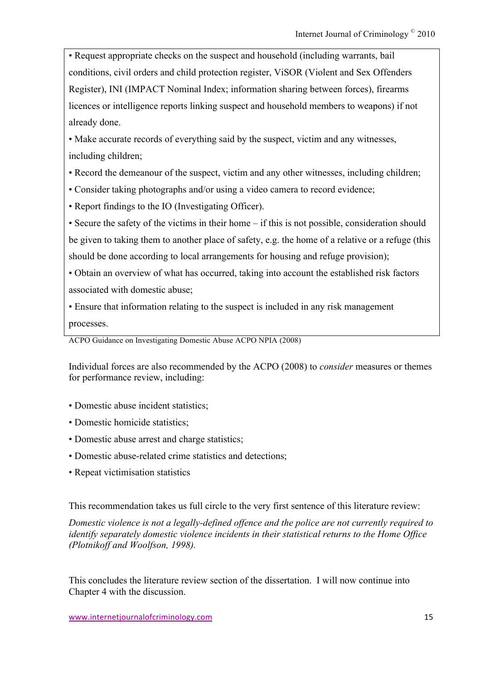• Request appropriate checks on the suspect and household (including warrants, bail conditions, civil orders and child protection register, ViSOR (Violent and Sex Offenders Register), INI (IMPACT Nominal Index; information sharing between forces), firearms licences or intelligence reports linking suspect and household members to weapons) if not already done.

• Make accurate records of everything said by the suspect, victim and any witnesses, including children;

- Record the demeanour of the suspect, victim and any other witnesses, including children;
- Consider taking photographs and/or using a video camera to record evidence;
- Report findings to the IO (Investigating Officer).

• Secure the safety of the victims in their home – if this is not possible, consideration should be given to taking them to another place of safety, e.g. the home of a relative or a refuge (this should be done according to local arrangements for housing and refuge provision);

• Obtain an overview of what has occurred, taking into account the established risk factors associated with domestic abuse;

• Ensure that information relating to the suspect is included in any risk management processes.

ACPO Guidance on Investigating Domestic Abuse ACPO NPIA (2008)

Individual forces are also recommended by the ACPO (2008) to *consider* measures or themes for performance review, including:

- Domestic abuse incident statistics;
- Domestic homicide statistics;
- Domestic abuse arrest and charge statistics;
- Domestic abuse-related crime statistics and detections;
- Repeat victimisation statistics

This recommendation takes us full circle to the very first sentence of this literature review:

*Domestic violence is not a legally-defined offence and the police are not currently required to identify separately domestic violence incidents in their statistical returns to the Home Office (Plotnikoff and Woolfson, 1998).*

This concludes the literature review section of the dissertation. I will now continue into Chapter 4 with the discussion.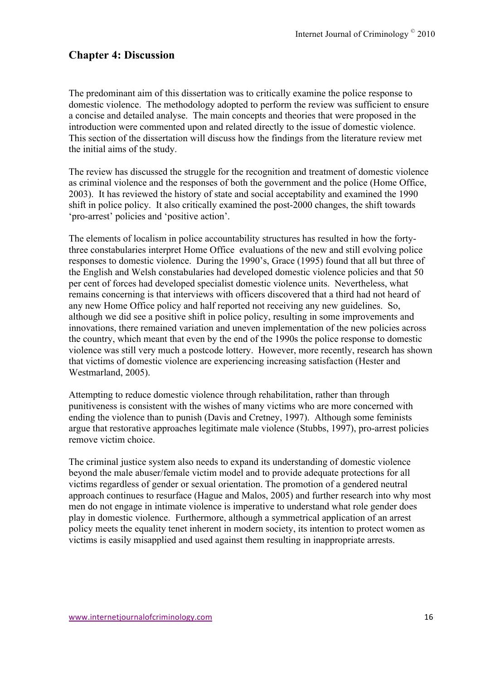# **Chapter 4: Discussion**

The predominant aim of this dissertation was to critically examine the police response to domestic violence. The methodology adopted to perform the review was sufficient to ensure a concise and detailed analyse. The main concepts and theories that were proposed in the introduction were commented upon and related directly to the issue of domestic violence. This section of the dissertation will discuss how the findings from the literature review met the initial aims of the study.

The review has discussed the struggle for the recognition and treatment of domestic violence as criminal violence and the responses of both the government and the police (Home Office, 2003). It has reviewed the history of state and social acceptability and examined the 1990 shift in police policy. It also critically examined the post-2000 changes, the shift towards 'pro-arrest' policies and 'positive action'.

The elements of localism in police accountability structures has resulted in how the fortythree constabularies interpret Home Office evaluations of the new and still evolving police responses to domestic violence. During the 1990's, Grace (1995) found that all but three of the English and Welsh constabularies had developed domestic violence policies and that 50 per cent of forces had developed specialist domestic violence units. Nevertheless, what remains concerning is that interviews with officers discovered that a third had not heard of any new Home Office policy and half reported not receiving any new guidelines. So, although we did see a positive shift in police policy, resulting in some improvements and innovations, there remained variation and uneven implementation of the new policies across the country, which meant that even by the end of the 1990s the police response to domestic violence was still very much a postcode lottery. However, more recently, research has shown that victims of domestic violence are experiencing increasing satisfaction (Hester and Westmarland, 2005).

Attempting to reduce domestic violence through rehabilitation, rather than through punitiveness is consistent with the wishes of many victims who are more concerned with ending the violence than to punish (Davis and Cretney, 1997). Although some feminists argue that restorative approaches legitimate male violence (Stubbs, 1997), pro-arrest policies remove victim choice.

The criminal justice system also needs to expand its understanding of domestic violence beyond the male abuser/female victim model and to provide adequate protections for all victims regardless of gender or sexual orientation. The promotion of a gendered neutral approach continues to resurface (Hague and Malos, 2005) and further research into why most men do not engage in intimate violence is imperative to understand what role gender does play in domestic violence. Furthermore, although a symmetrical application of an arrest policy meets the equality tenet inherent in modern society, its intention to protect women as victims is easily misapplied and used against them resulting in inappropriate arrests.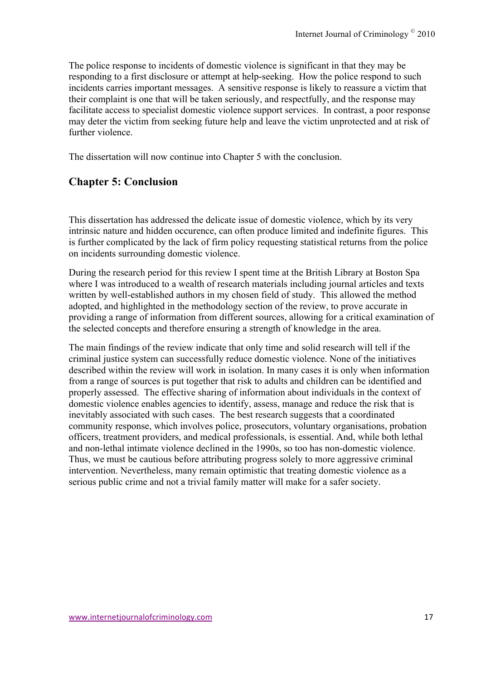The police response to incidents of domestic violence is significant in that they may be responding to a first disclosure or attempt at help-seeking. How the police respond to such incidents carries important messages. A sensitive response is likely to reassure a victim that their complaint is one that will be taken seriously, and respectfully, and the response may facilitate access to specialist domestic violence support services. In contrast, a poor response may deter the victim from seeking future help and leave the victim unprotected and at risk of further violence.

The dissertation will now continue into Chapter 5 with the conclusion.

# **Chapter 5: Conclusion**

This dissertation has addressed the delicate issue of domestic violence, which by its very intrinsic nature and hidden occurence, can often produce limited and indefinite figures. This is further complicated by the lack of firm policy requesting statistical returns from the police on incidents surrounding domestic violence.

During the research period for this review I spent time at the British Library at Boston Spa where I was introduced to a wealth of research materials including journal articles and texts written by well-established authors in my chosen field of study. This allowed the method adopted, and highlighted in the methodology section of the review, to prove accurate in providing a range of information from different sources, allowing for a critical examination of the selected concepts and therefore ensuring a strength of knowledge in the area.

The main findings of the review indicate that only time and solid research will tell if the criminal justice system can successfully reduce domestic violence. None of the initiatives described within the review will work in isolation. In many cases it is only when information from a range of sources is put together that risk to adults and children can be identified and properly assessed. The effective sharing of information about individuals in the context of domestic violence enables agencies to identify, assess, manage and reduce the risk that is inevitably associated with such cases. The best research suggests that a coordinated community response, which involves police, prosecutors, voluntary organisations, probation officers, treatment providers, and medical professionals, is essential. And, while both lethal and non-lethal intimate violence declined in the 1990s, so too has non-domestic violence. Thus, we must be cautious before attributing progress solely to more aggressive criminal intervention. Nevertheless, many remain optimistic that treating domestic violence as a serious public crime and not a trivial family matter will make for a safer society.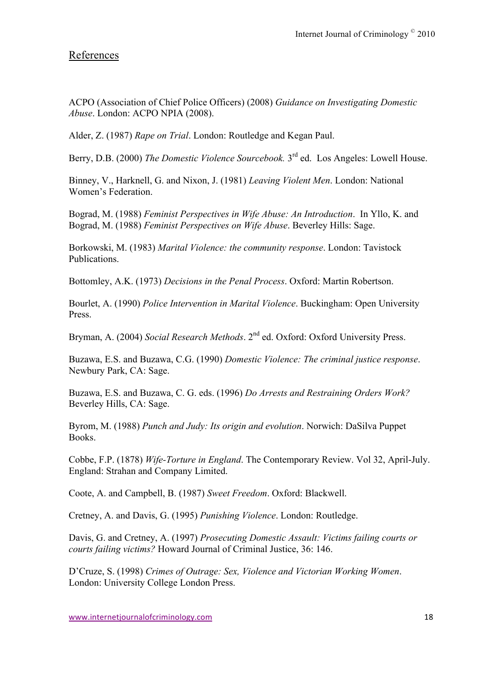# References

ACPO (Association of Chief Police Officers) (2008) *Guidance on Investigating Domestic Abuse*. London: ACPO NPIA (2008).

Alder, Z. (1987) *Rape on Trial*. London: Routledge and Kegan Paul.

Berry, D.B. (2000) *The Domestic Violence Sourcebook*. 3<sup>rd</sup> ed. Los Angeles: Lowell House.

Binney, V., Harknell, G. and Nixon, J. (1981) *Leaving Violent Men*. London: National Women's Federation.

Bograd, M. (1988) *Feminist Perspectives in Wife Abuse: An Introduction*. In Yllo, K. and Bograd, M. (1988) *Feminist Perspectives on Wife Abuse*. Beverley Hills: Sage.

Borkowski, M. (1983) *Marital Violence: the community response*. London: Tavistock Publications.

Bottomley, A.K. (1973) *Decisions in the Penal Process*. Oxford: Martin Robertson.

Bourlet, A. (1990) *Police Intervention in Marital Violence*. Buckingham: Open University Press.

Bryman, A. (2004) *Social Research Methods*. 2nd ed. Oxford: Oxford University Press.

Buzawa, E.S. and Buzawa, C.G. (1990) *Domestic Violence: The criminal justice response*. Newbury Park, CA: Sage.

Buzawa, E.S. and Buzawa, C. G. eds. (1996) *Do Arrests and Restraining Orders Work?*  Beverley Hills, CA: Sage.

Byrom, M. (1988) *Punch and Judy: Its origin and evolution*. Norwich: DaSilva Puppet Books.

Cobbe, F.P. (1878) *Wife-Torture in England*. The Contemporary Review. Vol 32, April-July. England: Strahan and Company Limited.

Coote, A. and Campbell, B. (1987) *Sweet Freedom*. Oxford: Blackwell.

Cretney, A. and Davis, G. (1995) *Punishing Violence*. London: Routledge.

Davis, G. and Cretney, A. (1997) *Prosecuting Domestic Assault: Victims failing courts or courts failing victims?* Howard Journal of Criminal Justice, 36: 146.

D'Cruze, S. (1998) *Crimes of Outrage: Sex, Violence and Victorian Working Women*. London: University College London Press.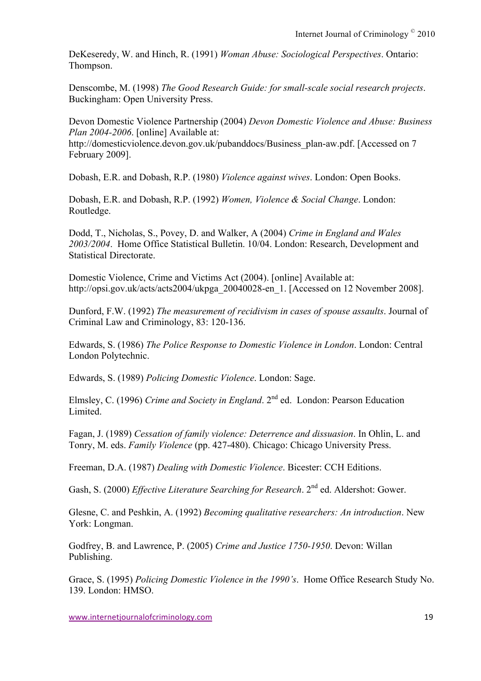DeKeseredy, W. and Hinch, R. (1991) *Woman Abuse: Sociological Perspectives*. Ontario: Thompson.

Denscombe, M. (1998) *The Good Research Guide: for small-scale social research projects*. Buckingham: Open University Press.

Devon Domestic Violence Partnership (2004) *Devon Domestic Violence and Abuse: Business Plan 2004-2006*. [online] Available at:

http://domesticviolence.devon.gov.uk/pubanddocs/Business\_plan-aw.pdf. [Accessed on 7 February 2009].

Dobash, E.R. and Dobash, R.P. (1980) *Violence against wives*. London: Open Books.

Dobash, E.R. and Dobash, R.P. (1992) *Women, Violence & Social Change*. London: Routledge.

Dodd, T., Nicholas, S., Povey, D. and Walker, A (2004) *Crime in England and Wales 2003/2004*. Home Office Statistical Bulletin. 10/04. London: Research, Development and Statistical Directorate.

Domestic Violence, Crime and Victims Act (2004). [online] Available at: http://opsi.gov.uk/acts/acts2004/ukpga\_20040028-en\_1. [Accessed on 12 November 2008].

Dunford, F.W. (1992) *The measurement of recidivism in cases of spouse assaults*. Journal of Criminal Law and Criminology, 83: 120-136.

Edwards, S. (1986) *The Police Response to Domestic Violence in London*. London: Central London Polytechnic.

Edwards, S. (1989) *Policing Domestic Violence*. London: Sage.

Elmsley, C. (1996) *Crime and Society in England*. 2nd ed. London: Pearson Education Limited.

Fagan, J. (1989) *Cessation of family violence: Deterrence and dissuasion*. In Ohlin, L. and Tonry, M. eds. *Family Violence* (pp. 427-480). Chicago: Chicago University Press.

Freeman, D.A. (1987) *Dealing with Domestic Violence*. Bicester: CCH Editions.

Gash, S. (2000) *Effective Literature Searching for Research*. 2<sup>nd</sup> ed. Aldershot: Gower.

Glesne, C. and Peshkin, A. (1992) *Becoming qualitative researchers: An introduction*. New York: Longman.

Godfrey, B. and Lawrence, P. (2005) *Crime and Justice 1750-1950*. Devon: Willan Publishing.

Grace, S. (1995) *Policing Domestic Violence in the 1990's*. Home Office Research Study No. 139. London: HMSO.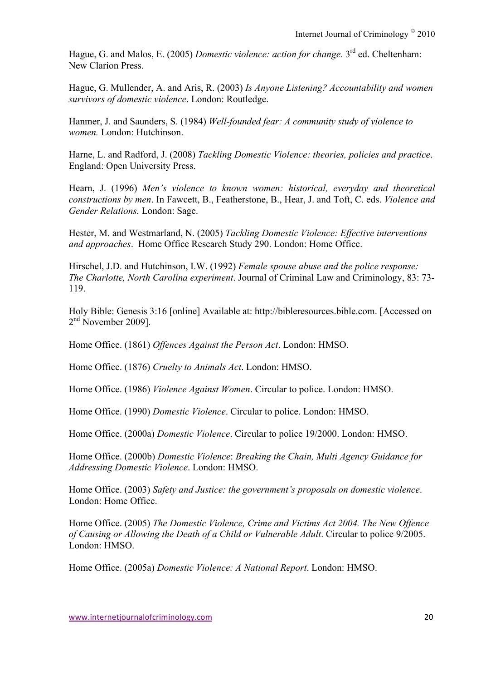Hague, G. and Malos, E. (2005) *Domestic violence: action for change*. 3rd ed. Cheltenham: New Clarion Press.

Hague, G. Mullender, A. and Aris, R. (2003) *Is Anyone Listening? Accountability and women survivors of domestic violence*. London: Routledge.

Hanmer, J. and Saunders, S. (1984) *Well-founded fear: A community study of violence to women.* London: Hutchinson.

Harne, L. and Radford, J. (2008) *Tackling Domestic Violence: theories, policies and practice*. England: Open University Press.

Hearn, J. (1996) *Men's violence to known women: historical, everyday and theoretical constructions by men*. In Fawcett, B., Featherstone, B., Hear, J. and Toft, C. eds. *Violence and Gender Relations.* London: Sage.

Hester, M. and Westmarland, N. (2005) *Tackling Domestic Violence: Effective interventions and approaches*. Home Office Research Study 290. London: Home Office.

Hirschel, J.D. and Hutchinson, I.W. (1992) *Female spouse abuse and the police response: The Charlotte, North Carolina experiment*. Journal of Criminal Law and Criminology, 83: 73- 119.

Holy Bible: Genesis 3:16 [online] Available at: http://bibleresources.bible.com. [Accessed on 2<sup>nd</sup> November 2009].

Home Office. (1861) *Offences Against the Person Act*. London: HMSO.

Home Office. (1876) *Cruelty to Animals Act*. London: HMSO.

Home Office. (1986) *Violence Against Women*. Circular to police. London: HMSO.

Home Office. (1990) *Domestic Violence*. Circular to police. London: HMSO.

Home Office. (2000a) *Domestic Violence*. Circular to police 19/2000. London: HMSO.

Home Office. (2000b) *Domestic Violence*: *Breaking the Chain, Multi Agency Guidance for Addressing Domestic Violence*. London: HMSO.

Home Office. (2003) *Safety and Justice: the government's proposals on domestic violence*. London: Home Office.

Home Office. (2005) *The Domestic Violence, Crime and Victims Act 2004. The New Offence of Causing or Allowing the Death of a Child or Vulnerable Adult*. Circular to police 9/2005. London: HMSO.

Home Office. (2005a) *Domestic Violence: A National Report*. London: HMSO.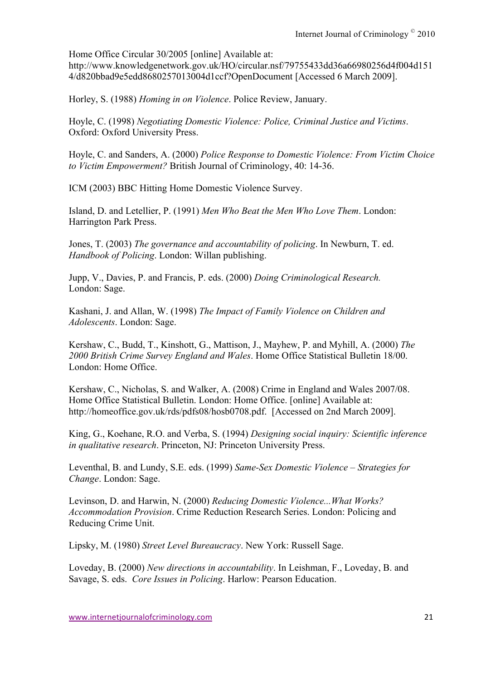Home Office Circular 30/2005 [online] Available at:

http://www.knowledgenetwork.gov.uk/HO/circular.nsf/79755433dd36a66980256d4f004d151 4/d820bbad9e5edd8680257013004d1ccf?OpenDocument [Accessed 6 March 2009].

Horley, S. (1988) *Homing in on Violence*. Police Review, January.

Hoyle, C. (1998) *Negotiating Domestic Violence: Police, Criminal Justice and Victims*. Oxford: Oxford University Press.

Hoyle, C. and Sanders, A. (2000) *Police Response to Domestic Violence: From Victim Choice to Victim Empowerment?* British Journal of Criminology, 40: 14-36.

ICM (2003) BBC Hitting Home Domestic Violence Survey.

Island, D. and Letellier, P. (1991) *Men Who Beat the Men Who Love Them*. London: Harrington Park Press.

Jones, T. (2003) *The governance and accountability of policing*. In Newburn, T. ed. *Handbook of Policing*. London: Willan publishing.

Jupp, V., Davies, P. and Francis, P. eds. (2000) *Doing Criminological Research.* London: Sage.

Kashani, J. and Allan, W. (1998) *The Impact of Family Violence on Children and Adolescents*. London: Sage.

Kershaw, C., Budd, T., Kinshott, G., Mattison, J., Mayhew, P. and Myhill, A. (2000) *The 2000 British Crime Survey England and Wales*. Home Office Statistical Bulletin 18/00. London: Home Office.

Kershaw, C., Nicholas, S. and Walker, A. (2008) Crime in England and Wales 2007/08. Home Office Statistical Bulletin. London: Home Office. [online] Available at: http://homeoffice.gov.uk/rds/pdfs08/hosb0708.pdf. [Accessed on 2nd March 2009].

King, G., Koehane, R.O. and Verba, S. (1994) *Designing social inquiry: Scientific inference in qualitative research*. Princeton, NJ: Princeton University Press.

Leventhal, B. and Lundy, S.E. eds. (1999) *Same-Sex Domestic Violence – Strategies for Change*. London: Sage.

Levinson, D. and Harwin, N. (2000) *Reducing Domestic Violence...What Works? Accommodation Provision*. Crime Reduction Research Series. London: Policing and Reducing Crime Unit.

Lipsky, M. (1980) *Street Level Bureaucracy*. New York: Russell Sage.

Loveday, B. (2000) *New directions in accountability*. In Leishman, F., Loveday, B. and Savage, S. eds. *Core Issues in Policing*. Harlow: Pearson Education.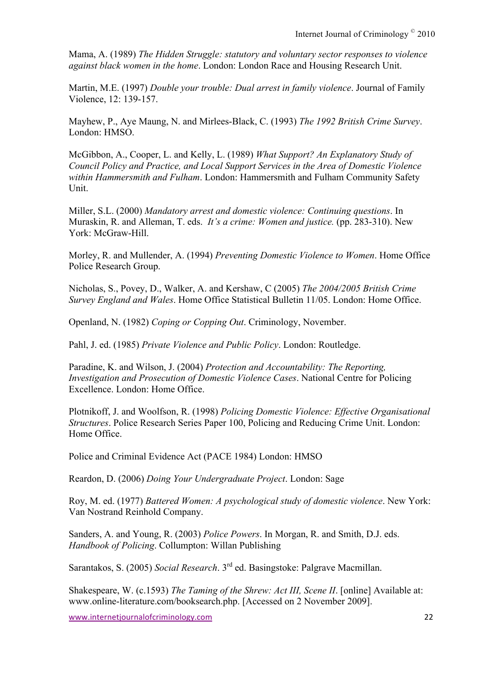Mama, A. (1989) *The Hidden Struggle: statutory and voluntary sector responses to violence against black women in the home*. London: London Race and Housing Research Unit.

Martin, M.E. (1997) *Double your trouble: Dual arrest in family violence*. Journal of Family Violence, 12: 139-157.

Mayhew, P., Aye Maung, N. and Mirlees-Black, C. (1993) *The 1992 British Crime Survey*. London: HMSO.

McGibbon, A., Cooper, L. and Kelly, L. (1989) *What Support? An Explanatory Study of Council Policy and Practice, and Local Support Services in the Area of Domestic Violence within Hammersmith and Fulham*. London: Hammersmith and Fulham Community Safety Unit.

Miller, S.L. (2000) *Mandatory arrest and domestic violence: Continuing questions*. In Muraskin, R. and Alleman, T. eds. *It's a crime: Women and justice.* (pp. 283-310). New York: McGraw-Hill.

Morley, R. and Mullender, A. (1994) *Preventing Domestic Violence to Women*. Home Office Police Research Group.

Nicholas, S., Povey, D., Walker, A. and Kershaw, C (2005) *The 2004/2005 British Crime Survey England and Wales*. Home Office Statistical Bulletin 11/05. London: Home Office.

Openland, N. (1982) *Coping or Copping Out*. Criminology, November.

Pahl, J. ed. (1985) *Private Violence and Public Policy*. London: Routledge.

Paradine, K. and Wilson, J. (2004) *Protection and Accountability: The Reporting, Investigation and Prosecution of Domestic Violence Cases*. National Centre for Policing Excellence. London: Home Office.

Plotnikoff, J. and Woolfson, R. (1998) *Policing Domestic Violence: Effective Organisational Structures*. Police Research Series Paper 100, Policing and Reducing Crime Unit. London: Home Office.

Police and Criminal Evidence Act (PACE 1984) London: HMSO

Reardon, D. (2006) *Doing Your Undergraduate Project*. London: Sage

Roy, M. ed. (1977) *Battered Women: A psychological study of domestic violence*. New York: Van Nostrand Reinhold Company.

Sanders, A. and Young, R. (2003) *Police Powers*. In Morgan, R. and Smith, D.J. eds. *Handbook of Policing*. Collumpton: Willan Publishing

Sarantakos, S. (2005) *Social Research*. 3rd ed. Basingstoke: Palgrave Macmillan.

Shakespeare, W. (c.1593) *The Taming of the Shrew: Act III, Scene II*. [online] Available at: www.online-literature.com/booksearch.php. [Accessed on 2 November 2009].

www.internetjournalofcriminology.com 22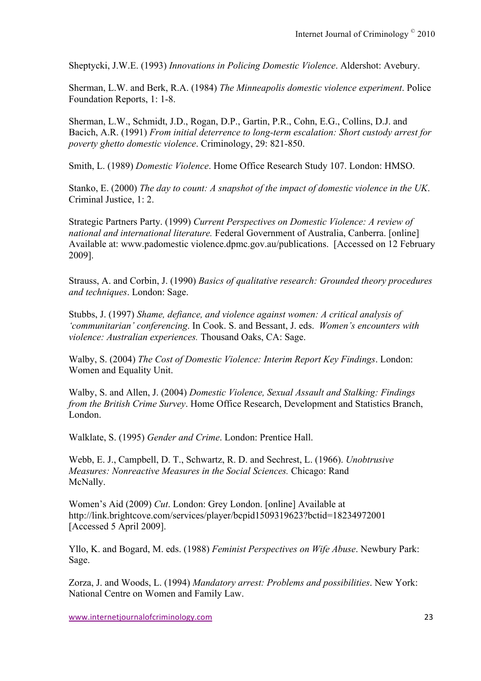Sheptycki, J.W.E. (1993) *Innovations in Policing Domestic Violence*. Aldershot: Avebury.

Sherman, L.W. and Berk, R.A. (1984) *The Minneapolis domestic violence experiment*. Police Foundation Reports, 1: 1-8.

Sherman, L.W., Schmidt, J.D., Rogan, D.P., Gartin, P.R., Cohn, E.G., Collins, D.J. and Bacich, A.R. (1991) *From initial deterrence to long-term escalation: Short custody arrest for poverty ghetto domestic violence*. Criminology, 29: 821-850.

Smith, L. (1989) *Domestic Violence*. Home Office Research Study 107. London: HMSO.

Stanko, E. (2000) *The day to count: A snapshot of the impact of domestic violence in the UK*. Criminal Justice, 1: 2.

Strategic Partners Party. (1999) *Current Perspectives on Domestic Violence: A review of national and international literature.* Federal Government of Australia, Canberra. [online] Available at: www.padomestic violence.dpmc.gov.au/publications. [Accessed on 12 February 2009].

Strauss, A. and Corbin, J. (1990) *Basics of qualitative research: Grounded theory procedures and techniques*. London: Sage.

Stubbs, J. (1997) *Shame, defiance, and violence against women: A critical analysis of 'communitarian' conferencing*. In Cook. S. and Bessant, J. eds. *Women's encounters with violence: Australian experiences.* Thousand Oaks, CA: Sage.

Walby, S. (2004) *The Cost of Domestic Violence: Interim Report Key Findings*. London: Women and Equality Unit.

Walby, S. and Allen, J. (2004) *Domestic Violence, Sexual Assault and Stalking: Findings from the British Crime Survey*. Home Office Research, Development and Statistics Branch, London.

Walklate, S. (1995) *Gender and Crime*. London: Prentice Hall.

Webb, E. J., Campbell, D. T., Schwartz, R. D. and Sechrest, L. (1966). *Unobtrusive Measures: Nonreactive Measures in the Social Sciences.* Chicago: Rand McNally.

Women's Aid (2009) *Cut*. London: Grey London. [online] Available at http://link.brightcove.com/services/player/bcpid1509319623?bctid=18234972001 [Accessed 5 April 2009].

Yllo, K. and Bogard, M. eds. (1988) *Feminist Perspectives on Wife Abuse*. Newbury Park: Sage.

Zorza, J. and Woods, L. (1994) *Mandatory arrest: Problems and possibilities*. New York: National Centre on Women and Family Law.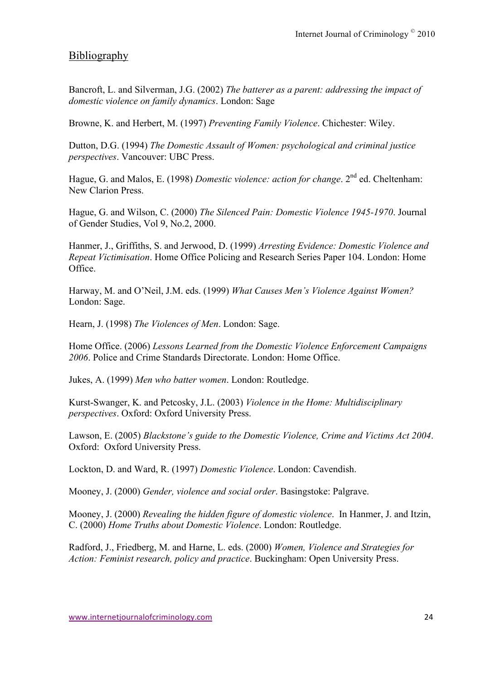### Bibliography

Bancroft, L. and Silverman, J.G. (2002) *The batterer as a parent: addressing the impact of domestic violence on family dynamics*. London: Sage

Browne, K. and Herbert, M. (1997) *Preventing Family Violence*. Chichester: Wiley.

Dutton, D.G. (1994) *The Domestic Assault of Women: psychological and criminal justice perspectives*. Vancouver: UBC Press.

Hague, G. and Malos, E. (1998) *Domestic violence: action for change*. 2<sup>nd</sup> ed. Cheltenham: New Clarion Press.

Hague, G. and Wilson, C. (2000) *The Silenced Pain: Domestic Violence 1945-1970*. Journal of Gender Studies, Vol 9, No.2, 2000.

Hanmer, J., Griffiths, S. and Jerwood, D. (1999) *Arresting Evidence: Domestic Violence and Repeat Victimisation*. Home Office Policing and Research Series Paper 104. London: Home Office.

Harway, M. and O'Neil, J.M. eds. (1999) *What Causes Men's Violence Against Women?* London: Sage.

Hearn, J. (1998) *The Violences of Men*. London: Sage.

Home Office. (2006) *Lessons Learned from the Domestic Violence Enforcement Campaigns 2006*. Police and Crime Standards Directorate. London: Home Office.

Jukes, A. (1999) *Men who batter women*. London: Routledge.

Kurst-Swanger, K. and Petcosky, J.L. (2003) *Violence in the Home: Multidisciplinary perspectives*. Oxford: Oxford University Press.

Lawson, E. (2005) *Blackstone's guide to the Domestic Violence, Crime and Victims Act 2004*. Oxford: Oxford University Press.

Lockton, D. and Ward, R. (1997) *Domestic Violence*. London: Cavendish.

Mooney, J. (2000) *Gender, violence and social order*. Basingstoke: Palgrave.

Mooney, J. (2000) *Revealing the hidden figure of domestic violence*. In Hanmer, J. and Itzin, C. (2000) *Home Truths about Domestic Violence*. London: Routledge.

Radford, J., Friedberg, M. and Harne, L. eds. (2000) *Women, Violence and Strategies for Action: Feminist research, policy and practice*. Buckingham: Open University Press.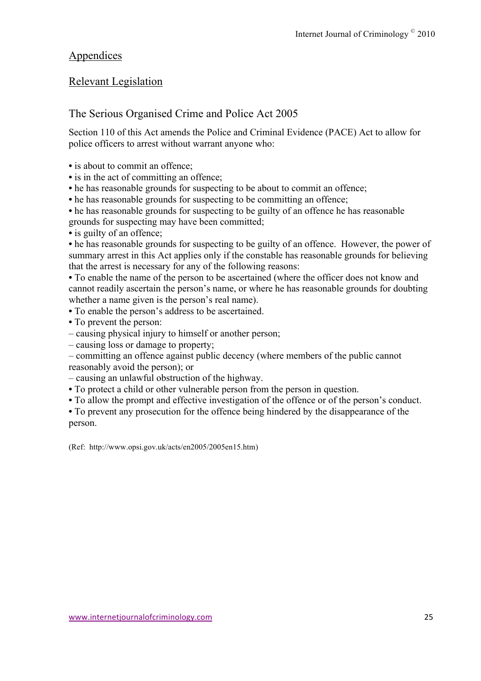### Appendices

### Relevant Legislation

### The Serious Organised Crime and Police Act 2005

Section 110 of this Act amends the Police and Criminal Evidence (PACE) Act to allow for police officers to arrest without warrant anyone who:

- is about to commit an offence;
- is in the act of committing an offence;
- he has reasonable grounds for suspecting to be about to commit an offence;
- he has reasonable grounds for suspecting to be committing an offence;

**•** he has reasonable grounds for suspecting to be guilty of an offence he has reasonable grounds for suspecting may have been committed;

**•** is guilty of an offence;

• he has reasonable grounds for suspecting to be guilty of an offence. However, the power of summary arrest in this Act applies only if the constable has reasonable grounds for believing that the arrest is necessary for any of the following reasons:

**•** To enable the name of the person to be ascertained (where the officer does not know and cannot readily ascertain the person's name, or where he has reasonable grounds for doubting whether a name given is the person's real name).

**•** To enable the person's address to be ascertained.

- To prevent the person:
- causing physical injury to himself or another person;
- causing loss or damage to property;

– committing an offence against public decency (where members of the public cannot reasonably avoid the person); or

- causing an unlawful obstruction of the highway.
- To protect a child or other vulnerable person from the person in question.
- To allow the prompt and effective investigation of the offence or of the person's conduct.

**•** To prevent any prosecution for the offence being hindered by the disappearance of the person.

(Ref: http://www.opsi.gov.uk/acts/en2005/2005en15.htm)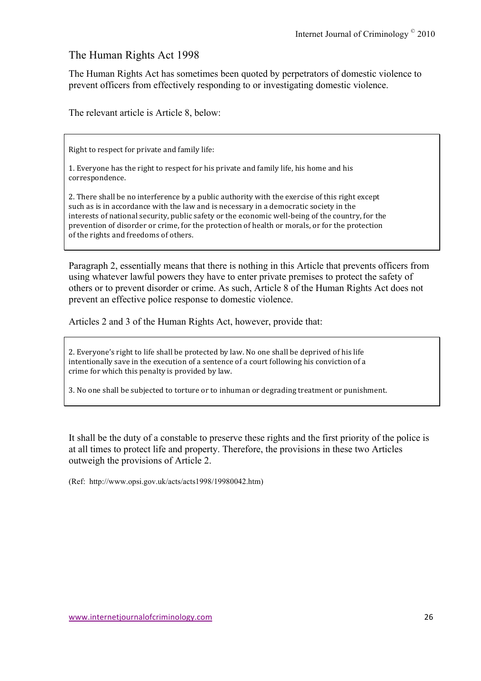### The Human Rights Act 1998

The Human Rights Act has sometimes been quoted by perpetrators of domestic violence to prevent officers from effectively responding to or investigating domestic violence.

The relevant article is Article 8, below:

Right to respect for private and family life:

1. Everyone has the right to respect for his private and family life, his home and his correspondence.

2. There shall be no interference by a public authority with the exercise of this right except such as is in accordance with the law and is necessary in a democratic society in the interests of national security, public safety or the economic well-being of the country, for the prevention of disorder or crime, for the protection of health or morals, or for the protection of the rights and freedoms of others.

Paragraph 2, essentially means that there is nothing in this Article that prevents officers from using whatever lawful powers they have to enter private premises to protect the safety of others or to prevent disorder or crime. As such, Article 8 of the Human Rights Act does not prevent an effective police response to domestic violence.

Articles 2 and 3 of the Human Rights Act, however, provide that:

2. Everyone's right to life shall be protected by law. No one shall be deprived of his life intentionally save in the execution of a sentence of a court following his conviction of a crime for which this penalty is provided by law.

3. No one shall be subjected to torture or to inhuman or degrading treatment or punishment.

It shall be the duty of a constable to preserve these rights and the first priority of the police is at all times to protect life and property. Therefore, the provisions in these two Articles outweigh the provisions of Article 2.

(Ref: http://www.opsi.gov.uk/acts/acts1998/19980042.htm)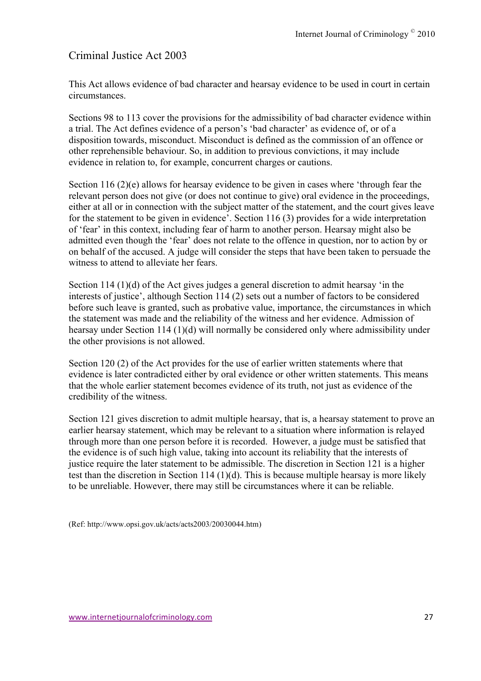### Criminal Justice Act 2003

This Act allows evidence of bad character and hearsay evidence to be used in court in certain circumstances.

Sections 98 to 113 cover the provisions for the admissibility of bad character evidence within a trial. The Act defines evidence of a person's 'bad character' as evidence of, or of a disposition towards, misconduct. Misconduct is defined as the commission of an offence or other reprehensible behaviour. So, in addition to previous convictions, it may include evidence in relation to, for example, concurrent charges or cautions.

Section 116 (2)(e) allows for hearsay evidence to be given in cases where 'through fear the relevant person does not give (or does not continue to give) oral evidence in the proceedings, either at all or in connection with the subject matter of the statement, and the court gives leave for the statement to be given in evidence'. Section 116 (3) provides for a wide interpretation of 'fear' in this context, including fear of harm to another person. Hearsay might also be admitted even though the 'fear' does not relate to the offence in question, nor to action by or on behalf of the accused. A judge will consider the steps that have been taken to persuade the witness to attend to alleviate her fears.

Section 114 (1)(d) of the Act gives judges a general discretion to admit hearsay 'in the interests of justice', although Section 114 (2) sets out a number of factors to be considered before such leave is granted, such as probative value, importance, the circumstances in which the statement was made and the reliability of the witness and her evidence. Admission of hearsay under Section 114 (1)(d) will normally be considered only where admissibility under the other provisions is not allowed.

Section 120 (2) of the Act provides for the use of earlier written statements where that evidence is later contradicted either by oral evidence or other written statements. This means that the whole earlier statement becomes evidence of its truth, not just as evidence of the credibility of the witness.

Section 121 gives discretion to admit multiple hearsay, that is, a hearsay statement to prove an earlier hearsay statement, which may be relevant to a situation where information is relayed through more than one person before it is recorded. However, a judge must be satisfied that the evidence is of such high value, taking into account its reliability that the interests of justice require the later statement to be admissible. The discretion in Section 121 is a higher test than the discretion in Section 114  $(1)(d)$ . This is because multiple hearsay is more likely to be unreliable. However, there may still be circumstances where it can be reliable.

(Ref: http://www.opsi.gov.uk/acts/acts2003/20030044.htm)